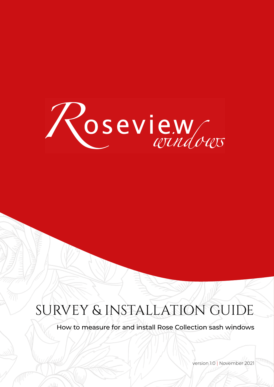

## SURVEY & INSTALLATION GUIDE

How to measure for and install Rose Collection sash windows

version 1.0 | November 2021

 $1$   $N$   $E/K \leqslant$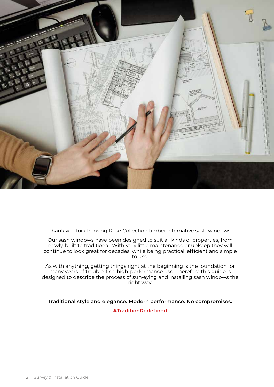

Thank you for choosing Rose Collection timber-alternative sash windows.

Our sash windows have been designed to suit all kinds of properties, from newly-built to traditional. With very little maintenance or upkeep they will continue to look great for decades, while being practical, efficient and simple to use.

As with anything, getting things right at the beginning is the foundation for many years of trouble-free high-performance use. Therefore this guide is designed to describe the process of surveying and installing sash windows the right way.

**Traditional style and elegance. Modern performance. No compromises.**

**#TraditionRedefined**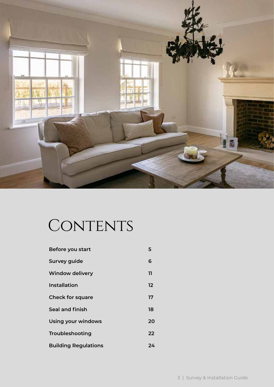

# CONTENTS

| Before you start            | 5  |
|-----------------------------|----|
| Survey guide                | 6  |
| <b>Window delivery</b>      | 11 |
| <b>Installation</b>         | 12 |
| <b>Check for square</b>     | 17 |
| Seal and finish             | 18 |
| Using your windows          | 20 |
| Troubleshooting             | 22 |
| <b>Building Regulations</b> | 24 |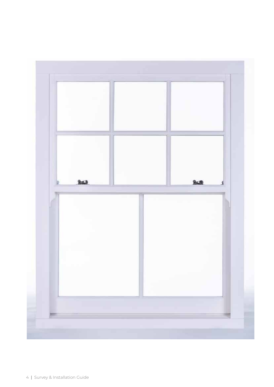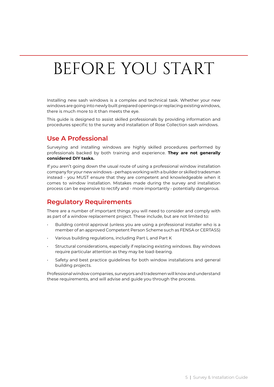# BEFORE YOU START

Installing new sash windows is a complex and technical task. Whether your new windows are going into newly built prepared openings or replacing existing windows, there is much more to it than meets the eye.

This guide is designed to assist skilled professionals by providing information and procedures specific to the survey and installation of Rose Collection sash windows.

## **Use A Professional**

Surveying and installing windows are highly skilled procedures performed by professionals backed by both training and experience. **They are not generally considered DIY tasks.**

If you aren't going down the usual route of using a professional window installation company for your new windows - perhaps working with a builder or skilled tradesman instead - you MUST ensure that they are competent and knowledgeable when it comes to window installation. Mistakes made during the survey and installation process can be expensive to rectify and - more importantly - potentially dangerous.

## **Regulatory Requirements**

There are a number of important things you will need to consider and comply with as part of a window replacement project. These include, but are not limited to:

- Building control approval (unless you are using a professional installer who is a member of an approved Competent Person Scheme such as FENSA or CERTASS)
- Various building regulations, including Part L and Part K
- Structural considerations, especially if replacing existing windows. Bay windows require particular attention as they may be load-bearing.
- Safety and best practice guidelines for both window installations and general building projects.

Professional window companies, surveyors and tradesmen will know and understand these requirements, and will advise and guide you through the process.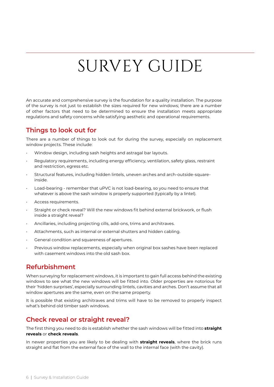# SURVEY GUIDE

An accurate and comprehensive survey is the foundation for a quality installation. The purpose of the survey is not just to establish the sizes required for new windows; there are a number of other factors that need to be determined to ensure the installation meets appropriate regulations and safety concerns while satisfying aesthetic and operational requirements.

## **Things to look out for**

There are a number of things to look out for during the survey, especially on replacement window projects. These include:

- Window design, including sash heights and astragal bar layouts.
- Regulatory requirements, including energy efficiency, ventilation, safety glass, restraint and restriction, egress etc.
- Structural features, including hidden lintels, uneven arches and arch-outside-squareinside.
- Load-bearing remember that uPVC is not load-bearing, so you need to ensure that whatever is above the sash window is properly supported (typically by a lintel).
- Access requirements.
- Straight or check reveal? Will the new windows fit behind external brickwork, or flush inside a straight reveal?
- Ancillaries, including projecting cills, add-ons, trims and architraves.
- Attachments, such as internal or external shutters and hidden cabling.
- General condition and squareness of apertures.
- Previous window replacements, especially when original box sashes have been replaced with casement windows into the old sash box.

## **Refurbishment**

When surveying for replacement windows, it is important to gain full access behind the existing windows to see what the new windows will be fitted into. Older properties are notorious for their 'hidden surprises', especially surrounding lintels, cavities and arches. Don't assume that all window apertures are the same, even on the same property.

It is possible that existing architraves and trims will have to be removed to properly inspect what's behind old timber sash windows.

## **Check reveal or straight reveal?**

The first thing you need to do is establish whether the sash windows will be fitted into **straight reveals** or **check reveals**.

In newer properties you are likely to be dealing with **straight reveals**, where the brick runs straight and flat from the external face of the wall to the internal face (with the cavity).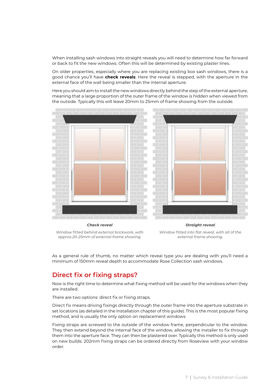When installing sash windows into straight reveals you will need to determine how far forward or back to fit the new windows. Often this will be determined by existing plaster lines.

On older properties, especially where you are replacing existing box sash windows, there is a good chance you'll have **check reveals**. Here the reveal is stepped, with the aperture in the external face of the wall being smaller than the internal aperture.

Here you should aim to install the new windows directly behind the step of the external aperture, meaning that a large proportion of the outer frame of the window is hidden when viewed from the outside. Typically this will leave 20mm to 25mm of frame showing from the outside.



*Check reveal*



*Window fitted behind external brickwork, with approx.20-25mm of external frame showing.*

*Straight reveal Window fitted into flat reveal, with all of the external frame showing.*

As a general rule of thumb, no matter which reveal type you are dealing with you'll need a minimum of 150mm reveal depth to accommodate Rose Collection sash windows.

## **Direct fix or fixing straps?**

Now is the right time to determine what fixing method will be used for the windows when they are installed.

There are two options: direct fix or fixing straps.

Direct fix means driving fixings directly through the outer frame into the aperture substrate in set locations (as detailed in the Installation chapter of this guide). This is the most popular fixing method, and is usually the only option on replacement windows

Fixing straps are screwed to the outside of the window frame, perpendicular to the window. They then extend beyond the internal face of the window, allowing the installer to fix through them into the aperture face. They can then be plastered over. Typically this method is only used on new builds. 202mm fixing straps can be ordered directly from Roseview with your window order.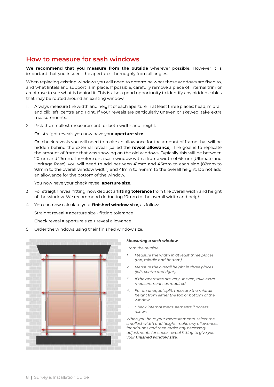## **How to measure for sash windows**

**We recommend that you measure from the outside** wherever possible. However it is important that you inspect the apertures thoroughly from all angles.

When replacing existing windows you will need to determine what those windows are fixed to, and what lintels and support is in place. If possible, carefully remove a piece of internal trim or architrave to see what is behind it. This is also a good opportunity to identify any hidden cables that may be routed around an existing window.

- 1. Always measure the width and height of each aperture in at least three places: head, midrail and cill; left, centre and right. If your reveals are particularly uneven or skewed, take extra measurements.
- 2. Pick the smallest measurement for both width and height.

On straight reveals you now have your **aperture size**.

On check reveals you will need to make an allowance for the amount of frame that will be hidden behind the external reveal (called the **reveal allowance**). The goal is to replicate the amount of frame that was showing on the old windows. Typically this will be between 20mm and 25mm. Therefore on a sash window with a frame width of 66mm (Ultimate and Heritage Rose), you will need to add between 41mm and 46mm to each side (82mm to 92mm to the overall window width) and 41mm to 46mm to the overall height. Do not add an allowance for the bottom of the window.

You now have your check reveal **aperture size**.

- 3. For straigth reveal fitting, now deduct a **fitting tolerance** from the overall width and height of the window. We recommend deducting 10mm to the overall width and height.
- 4. You can now calculate your **finished window size**, as follows:

Straight reveal = aperture size - fitting tolerance

Check reveal = aperture size + reveal allowance

5. Order the windows using their finished window size.



#### *Measuring a sash window*

*From the outside...*

- *1. Measure the width in at least three places (top, middle and bottom).*
- *2. Measure the overall height in three places (left, centre and right).*
- *3. If the apertures are very uneven, take extra measurements as required.*
- *4. For an unequal split, measure the midrail height from either the top or bottom of the window.*
- *5. Check internal measurements if access allows.*

*When you have your measurements, select the smallest width and height, make any allowances for add-ons and then make any necessary adjustments for check reveal fitting to give you your finished window size.*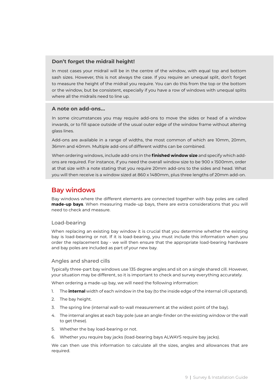#### **Don't forget the midrail height!**

In most cases your midrail will be in the centre of the window, with equal top and bottom sash sizes. However, this is not always the case. If you require an unequal split, don't forget to measure the height of the midrail you require. You can do this from the top or the bottom or the window, but be consistent, especially if you have a row of windows with unequal splits where all the midrails need to line up.

#### **A note on add-ons...**

In some circumstances you may require add-ons to move the sides or head of a window inwards, or to fill space outside of the usual outer edge of the window frame without altering glass lines.

Add-ons are available in a range of widths, the most common of which are 10mm, 20mm, 36mm and 40mm. Multiple add-ons of different widths can be combined.

When ordering windows, include add-ons in the **finished window size** and specify which addons are required. For instance, if you need the overall window size to be 900 x 1500mm, order at that size with a note stating that you require 20mm add-ons to the sides and head. What you will then receive is a window sized at 860 x 1480mm, plus three lengths of 20mm add-on.

### **Bay windows**

Bay windows where the different elements are connected together with bay poles are called **made-up bays**. When measuring made-up bays, there are extra considerations that you will need to check and measure.

#### Load-bearing

When replacing an existing bay window it is crucial that you determine whether the existing bay is load-bearing or not. If it is load-bearing, you must include this information when you order the replacement bay - we will then ensure that the appropriate load-bearing hardware and bay poles are included as part of your new bay.

#### Angles and shared cills

Typically three-part bay windows use 135 degree angles and sit on a single shared cill. However, your situation may be different, so it is important to check and survey everything accurately.

When ordering a made-up bay, we will need the following information:

- 1. The **internal** width of each window in the bay (to the inside edge of the internal cill upstand).
- 2. The bay height.
- 3. The spring line (internal wall-to-wall measurement at the widest point of the bay).
- 4. The internal angles at each bay pole (use an angle-finder on the existing window or the wall to get these).
- 5. Whether the bay load-bearing or not.
- 6. Whether you require bay jacks (load-bearing bays ALWAYS require bay jacks).

We can then use this information to calculate all the sizes, angles and allowances that are required.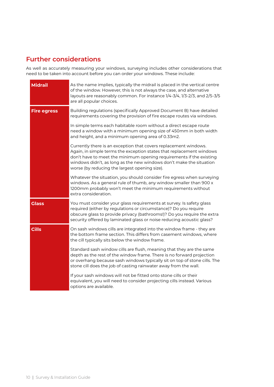## **Further considerations**

As well as accurately measuring your windows, surveying includes other considerations that need to be taken into account before you can order your windows. These include:

| <b>Midrail</b>     | As the name implies, typically the midrail is placed in the vertical centre<br>of the window. However, this is not always the case, and alternative<br>layouts are reasonably common. For instance 1/4-3/4, 1/3-2/3, and 2/5-3/5<br>are all popular choices.                                                                            |
|--------------------|-----------------------------------------------------------------------------------------------------------------------------------------------------------------------------------------------------------------------------------------------------------------------------------------------------------------------------------------|
| <b>Fire egress</b> | Building regulations (specifically Approved Document B) have detailed<br>requirements covering the provision of fire escape routes via windows.                                                                                                                                                                                         |
|                    | In simple terms each habitable room without a direct escape route<br>need a window with a minimum opening size of 450mm in both width<br>and height, and a minimum opening area of 0.33m2.                                                                                                                                              |
|                    | Currently there is an exception that covers replacement windows.<br>Again, in simple terms the exception states that replacement windows<br>don't have to meet the minimum opening requirements if the existing<br>windows didn't, as long as the new windows don't make the situation<br>worse (by reducing the largest opening size). |
|                    | Whatever the situation, you should consider fire egress when surveying<br>windows. As a general rule of thumb, any window smaller than 900 x<br>1200mm probably won't meet the minimum requirements without<br>extra consideration.                                                                                                     |
| <b>Glass</b>       | You must consider your glass requirements at survey. Is safety glass<br>required (either by regulations or circumstance)? Do you require<br>obscure glass to provide privacy (bathrooms!)? Do you require the extra<br>security offered by laminated glass or noise reducing acoustic glass?                                            |
| <b>Cills</b>       | On sash windows cills are integrated into the window frame - they are<br>the bottom frame section. This differs from casement windows, where<br>the cill typically sits below the window frame.                                                                                                                                         |
|                    | Standard sash window cills are flush, meaning that they are the same<br>depth as the rest of the window frame. There is no forward projection<br>or overhang because sash windows typically sit on top of stone cills. The<br>stone cill does the job of casting rainwater away from the wall.                                          |
|                    | If your sash windows will not be fitted onto stone cills or their<br>equivalent, you will need to consider projecting cills instead. Various<br>options are available.                                                                                                                                                                  |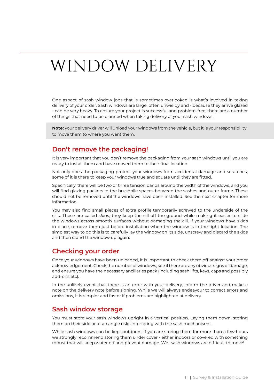## WINDOW DELIVERY

One aspect of sash window jobs that is sometimes overlooked is what's involved in taking delivery of your order. Sash windows are large, often unwieldy and - because they arrive glazed - can be very heavy. To ensure your project is successful and problem-free, there are a number of things that need to be planned when taking delivery of your sash windows.

**Note:** your delivery driver will unload your windows from the vehicle, but it is your responsibility to move them to where you want them.

## **Don't remove the packaging!**

It is very important that you don't remove the packaging from your sash windows until you are ready to install them and have moved them to their final location.

Not only does the packaging protect your windows from accidental damage and scratches, some of it is there to keep your windows true and square until they are fitted.

Specifically, there will be two or three tension bands around the width of the windows, and you will find glazing packers in the brushpile spaces between the sashes and outer frame. These should not be removed until the windows have been installed. See the next chapter for more information.

You may also find small pieces of extra profile temporarily screwed to the underside of the cills. These are called *skids*; they keep the cill off the ground while making it easier to slide the windows across smooth surfaces without damaging the cill. If your windows have skids in place, remove them just before installation when the window is in the right location. The simplest way to do this is to carefully lay the window on its side, unscrew and discard the skids and then stand the window up again.

## **Checking your order**

Once your windows have been unloaded, it is important to check them off against your order acknowledgement. Check the number of windows, see if there are any obvious signs of damage, and ensure you have the necessary ancillaries pack (including sash lifts, keys, caps and possibly add-ons etc).

In the unlikely event that there is an error with your delivery, inform the driver and make a note on the delivery note before signing. While we will always endeavour to correct errors and omissions, It is simpler and faster if problems are highlighted at delivery.

### **Sash window storage**

You must store your sash windows upright in a vertical position. Laying them down, storing them on their side or at an angle risks interfering with the sash mechanisms.

While sash windows can be kept outdoors, if you are storing them for more than a few hours we strongly recommend storing them under cover - either indoors or covered with something robust that will keep water off and prevent damage. Wet sash windows are difficult to move!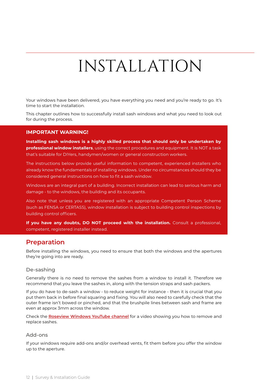# INSTALLATION

Your windows have been delivered, you have everything you need and you're ready to go. It's time to start the installation.

This chapter outlines how to successfully install sash windows and what you need to look out for during the process.

#### **IMPORTANT WARNING!**

**Installing sash windows is a highly skilled process that should only be undertaken by professional window installers**, using the correct procedures and equipment. It is NOT a task that's suitable for DIYers, handymen/women or general construction workers.

The instructions below provide useful information to competent, experienced installers who already know the fundamentals of installing windows. Under no circumstances should they be considered general instructions on how to fit a sash window.

Windows are an integral part of a building. Incorrect installation can lead to serious harm and damage - to the windows, the building and its occupants.

Also note that unless you are registered with an appropriate Competent Person Scheme (such as FENSA or CERTASS), window installation is subject to building control inspections by building control officers.

**If you have any doubts, DO NOT proceed with the installation.** Consult a professional, competent, registered installer instead.

### **Preparation**

Before installing the windows, you need to ensure that both the windows and the apertures they're going into are ready.

#### De-sashing

Generally there is no need to remove the sashes from a window to install it. Therefore we recommend that you leave the sashes in, along with the tension straps and sash packers.

If you do have to de-sash a window - to reduce weight for instance - then it is crucial that you put them back in before final squaring and fixing. You will also need to carefully check that the outer frame isn't bowed or pinched, and that the brushpile lines between sash and frame are even at approx 3mm across the window.

Check the **Roseview Windows YouTube channel** for a video showing you how to remove and replace sashes.

#### Add-ons

If your windows require add-ons and/or overhead vents, fit them before you offer the window up to the aperture.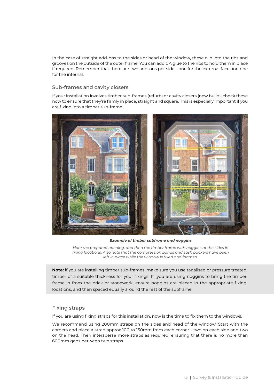In the case of straight add-ons to the sides or head of the window, these clip into the ribs and grooves on the outside of the outer frame. You can add CA glue to the ribs to hold them in place if required. Remember that there are two add-ons per side - one for the external face and one for the internal.

#### Sub-frames and cavity closers

If your installation involves timber sub-frames (refurb) or cavity closers (new build), check these now to ensure that they're firmly in place, straight and square. This is especially important if you are fixing into a timber sub-frame.



*Example of timber subframe and noggins*

*Note the prepared opening, and then the timber frame with noggins at the sides in fixing locations. Also note that the compression bands and sash packers have been left in place while the window is fixed and foamed.*

**Note:** if you are installing timber sub-frames, make sure you use tanalised or pressure treated timber of a suitable thickness for your fixings. If you are using noggins to bring the timber frame in from the brick or stonework, ensure noggins are placed in the appropriate fixing locations, and then spaced equally around the rest of the subframe.

#### Fixing straps

If you are using fixing straps for this installation, now is the time to fix them to the windows.

We recommend using 200mm straps on the sides and head of the window. Start with the corners and place a strap approx 100 to 150mm from each corner - two on each side and two on the head. Then intersperse more straps as required, ensuring that there is no more than 600mm gaps between two straps.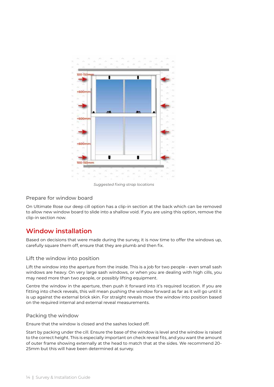

*Suggested fixing strap locations*

#### Prepare for window board

On Ultimate Rose our deep cill option has a clip-in section at the back which can be removed to allow new window board to slide into a shallow void. If you are using this option, remove the clip-in section now.

## **Window installation**

Based on decisions that were made during the survey, it is now time to offer the windows up, carefully square them off, ensure that they are plumb and then fix.

#### Lift the window into position

Lift the window into the aperture from the inside. This is a job for two people - even small sash windows are heavy. On very large sash windows, or when you are dealing with high cills, you may need more than two people, or possibly lifting equipment.

Centre the window in the aperture, then push it forward into it's required location. If you are fitting into check reveals, this will mean pushing the window forward as far as it will go until it is up against the external brick skin. For straight reveals move the window into position based on the required internal and external reveal measurements.

#### Packing the window

Ensure that the window is closed and the sashes locked off.

Start by packing under the cill. Ensure the base of the window is level and the window is raised to the correct height. This is especially important on check reveal fits, and you want the amount of outer frame showing externally at the head to match that at the sides. We recommend 20- 25mm but this will have been determined at survey.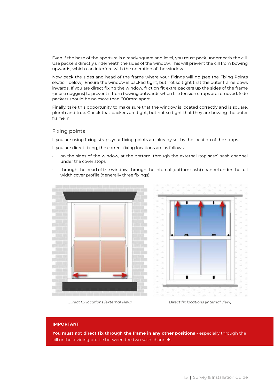Even if the base of the aperture is already square and level, you must pack underneath the cill. Use packers directly underneath the sides of the window. This will prevent the cill from bowing upwards, which can interfere with the operation of the window.

Now pack the sides and head of the frame where your fixings will go (see the Fixing Points section below). Ensure the window is packed tight, but not so tight that the outer frame bows inwards. If you are direct fixing the window, friction fit extra packers up the sides of the frame (or use noggins) to prevent it from bowing outwards when the tension straps are removed. Side packers should be no more than 600mm apart.

Finally, take this opportunity to make sure that the window is located correctly and is square. plumb and true. Check that packers are tight, but not so tight that they are bowing the outer frame in.

#### Fixing points

If you are using fixing straps your fixing points are already set by the location of the straps.

If you are direct fixing, the correct fixing locations are as follows:

- on the sides of the window, at the bottom, through the external (top sash) sash channel under the cover stops
- through the head of the window, through the internal (bottom sash) channel under the full width cover profile (generally three fixings)





*Direct fix locations (external view) Direct fix locations (internal view)*

#### **IMPORTANT**

**You must not direct fix through the frame in any other positions** - especially through the cill or the dividing profile between the two sash channels.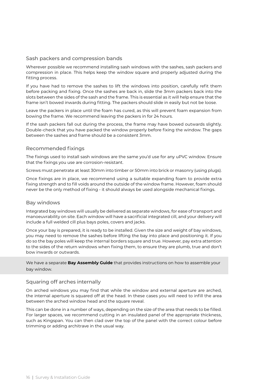#### Sash packers and compression bands

Wherever possible we recommend installing sash windows with the sashes, sash packers and compression in place. This helps keep the window square and properly adjusted during the fitting process.

If you have had to remove the sashes to lift the windows into position, carefully refit them before packing and fixing. Once the sashes are back in, slide the 3mm packers back into the slots between the sides of the sash and the frame. This is essential as it will help ensure that the frame isn't bowed inwards during fitting. The packers should slide in easily but not be loose.

Leave the packers in place until the foam has cured, as this will prevent foam expansion from bowing the frame. We recommend leaving the packers in for 24 hours.

If the sash packers fall out during the process, the frame may have bowed outwards slightly. Double-check that you have packed the window properly before fixing the window. The gaps between the sashes and frame should be a consistent 3mm.

#### Recommended fixings

The fixings used to install sash windows are the same you'd use for any uPVC window. Ensure that the fixings you use are corrosion-resistant.

Screws must penetrate at least 30mm into timber or 50mm into brick or masonry (using plugs).

Once fixings are in place, we recommend using a suitable expanding foam to provide extra fixing strength and to fill voids around the outside of the window frame. However, foam should never be the only method of fixing - it should always be used alongside mechanical fixings.

#### Bay windows

Integrated bay windows will usually be delivered as separate windows, for ease of transport and manoeuvrability on site. Each window will have a sacrificial integrated cill, and your delivery will include a full welded cill plus bays poles, covers and jacks.

Once your bay is prepared, it is ready to be installed. Given the size and weight of bay windows, you may need to remove the sashes before lifting the bay into place and positioning it. If you do so the bay poles will keep the internal borders square and true. However, pay extra attention to the sides of the return windows when fixing them, to ensure they are plumb, true and don't bow inwards or outwards.

We have a separate **Bay Assembly Guide** that provides instructions on how to assemble your bay window.

#### Squaring off arches internally

On arched windows you may find that while the window and external aperture are arched, the internal aperture is squared off at the head. In these cases you will need to infill the area between the arched window head and the square reveal.

This can be done in a number of ways, depending on the size of the area that needs to be filled. For larger spaces, we recommend cutting in an insulated panel of the appropriate thickness, such as Kingspan. You can then clad over the top of the panel with the correct colour before trimming or adding architrave in the usual way.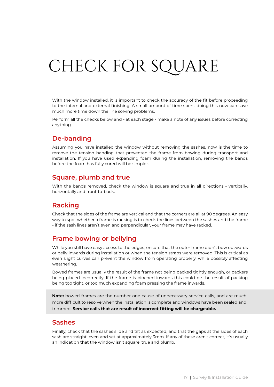# CHECK FOR SQUARE

With the window installed, it is important to check the accuracy of the fit before proceeding to the internal and external finishing. A small amount of time spent doing this now can save much more time down the line solving problems.

Perform all the checks below and - at each stage - make a note of any issues before correcting anything.

## **De-banding**

Assuming you have installed the window without removing the sashes, now is the time to remove the tension banding that prevented the frame from bowing during transport and installation. If you have used expanding foam during the installation, removing the bands before the foam has fully cured will be simpler.

## **Square, plumb and true**

With the bands removed, check the window is square and true in all directions - vertically, horizontally and front-to-back.

## **Racking**

Check that the sides of the frame are vertical and that the corners are all at 90 degrees. An easy way to spot whether a frame is racking is to check the lines between the sashes and the frame - if the sash lines aren't even and perpendicular, your frame may have racked.

## **Frame bowing or bellying**

While you still have easy access to the edges, ensure that the outer frame didn't bow outwards or belly inwards during installation or when the tension straps were removed. This is critical as even slight curves can prevent the window from operating properly, while possibly affecting weathering.

Bowed frames are usually the result of the frame not being packed tightly enough, or packers being placed incorrectly. If the frame is pinched inwards this could be the result of packing being too tight, or too much expanding foam pressing the frame inwards.

**Note:** bowed frames are the number one cause of unnecessary service calls, and are much more difficult to resolve when the installation is complete and windows have been sealed and trimmed. **Service calls that are result of incorrect fitting will be chargeable.**

### **Sashes**

Finally, check that the sashes slide and tilt as expected, and that the gaps at the sides of each sash are straight, even and set at approximately 3mm. If any of these aren't correct, it's usually an indication that the window isn't square, true and plumb.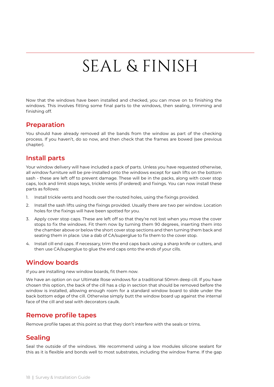## SEAL & FINISH

Now that the windows have been installed and checked, you can move on to finishing the windows. This involves fitting some final parts to the windows, then sealing, trimming and finishing off.

### **Preparation**

You should have already removed all the bands from the window as part of the checking process. If you haven't, do so now, and then check that the frames are bowed (see previous chapter).

## **Install parts**

Your window delivery will have included a pack of parts. Unless you have requested otherwise, all window furniture will be pre-installed onto the windows except for sash lifts on the bottom sash - these are left off to prevent damage. These will be in the packs, along with cover stop caps, lock and limit stops keys, trickle vents (if ordered) and fixings. You can now install these parts as follows:

- 1. Install trickle vents and hoods over the routed holes, using the fixings provided.
- 2. Install the sash lifts using the fixings provided. Usually there are two per window. Location holes for the fixings will have been spotted for you.
- 3. Apply cover stop caps. These are left off so that they're not lost when you move the cover stops to fix the windows. Fit them now by turning them 90 degrees, inserting them into the chamber above or below the short cover stop sections and then turning them back and seating them in place. Use a dab of CA/superglue to fix them to the cover stop.
- 4. Install cill end caps. If necessary, trim the end caps back using a sharp knife or cutters, and then use CA/superglue to glue the end caps onto the ends of your cills.

## **Window boards**

If you are installing new window boards, fit them now.

We have an option on our Ultimate Rose windows for a traditional 50mm deep cill. If you have chosen this option, the back of the cill has a clip in section that should be removed before the window is installed, allowing enough room for a standard window board to slide under the back bottom edge of the cill. Otherwise simply butt the window board up against the internal face of the cill and seal with decorators caulk.

## **Remove profile tapes**

Remove profile tapes at this point so that they don't interfere with the seals or trims.

## **Sealing**

Seal the outside of the windows. We recommend using a low modules silicone sealant for this as it is flexible and bonds well to most substrates, including the window frame. If the gap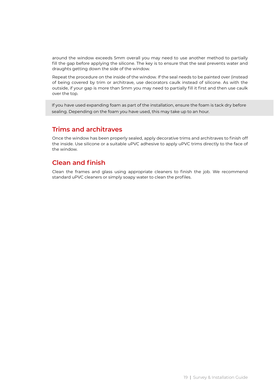around the window exceeds 5mm overall you may need to use another method to partially fill the gap before applying the silicone. The key is to ensure that the seal prevents water and draughts getting down the side of the window.

Repeat the procedure on the inside of the window. If the seal needs to be painted over (instead of being covered by trim or architrave, use decorators caulk instead of silicone. As with the outside, if your gap is more than 5mm you may need to partially fill it first and then use caulk over the top.

If you have used expanding foam as part of the installation, ensure the foam is tack dry before sealing. Depending on the foam you have used, this may take up to an hour.

## **Trims and architraves**

Once the window has been properly sealed, apply decorative trims and architraves to finish off the inside. Use silicone or a suitable uPVC adhesive to apply uPVC trims directly to the face of the window.

## **Clean and finish**

Clean the frames and glass using appropriate cleaners to finish the job. We recommend standard uPVC cleaners or simply soapy water to clean the profiles.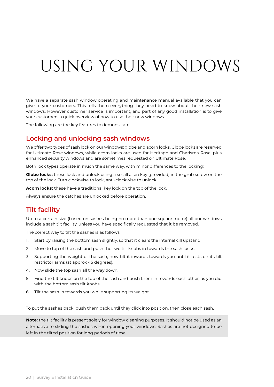# USING YOUR WINDOWS

We have a separate sash window operating and maintenance manual available that you can give to your customers. This tells them everything they need to know about their new sash windows. However customer service is important, and part of any good installation is to give your customers a quick overview of how to use their new windows.

The following are the key features to demonstrate.

## **Locking and unlocking sash windows**

We offer two types of sash lock on our windows: globe and acorn locks. Globe locks are reserved for Ultimate Rose windows, while acorn locks are used for Heritage and Charisma Rose, plus enhanced security windows and are sometimes requested on Ultimate Rose.

Both lock types operate in much the same way, with minor differences to the locking:

**Globe locks:** these lock and unlock using a small allen key (provided) in the grub screw on the top of the lock. Turn clockwise to lock, anti-clockwise to unlock.

**Acorn locks:** these have a traditional key lock on the top of the lock.

Always ensure the catches are unlocked before operation.

## **Tilt facility**

Up to a certain size (based on sashes being no more than one square metre) all our windows include a sash tilt facility, unless you have specifically requested that it be removed.

The correct way to tilt the sashes is as follows:

- 1. Start by raising the bottom sash slightly, so that it clears the internal cill upstand.
- 2. Move to top of the sash and push the two tilt knobs in towards the sash locks.
- 3. Supporting the weight of the sash, now tilt it inwards towards you until it rests on its tilt restrictor arms (at approx 45 degrees).
- 4. Now slide the top sash all the way down.
- 5. Find the tilt knobs on the top of the sash and push them in towards each other, as you did with the bottom sash tilt knobs.
- 6. Tilt the sash in towards you while supporting its weight.

To put the sashes back, push them back until they click into position, then close each sash.

**Note:** the tilt facility is present solely for window cleaning purposes. It should not be used as an alternative to sliding the sashes when opening your windows. Sashes are not designed to be left in the tilted position for long periods of time.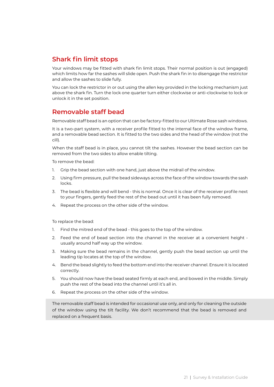## **Shark fin limit stops**

Your windows may be fitted with shark fin limit stops. Their normal position is out (engaged) which limits how far the sashes will slide open. Push the shark fin in to disengage the restrictor and allow the sashes to slide fully.

You can lock the restrictor in or out using the allen key provided in the locking mechanism just above the shark fin. Turn the lock one quarter turn either clockwise or anti-clockwise to lock or unlock it in the set position.

## **Removable staff bead**

Removable staff bead is an option that can be factory-fitted to our Ultimate Rose sash windows.

It is a two-part system, with a receiver profile fitted to the internal face of the window frame, and a removable bead section. It is fitted to the two sides and the head of the window (not the cill).

When the staff bead is in place, you cannot tilt the sashes. However the bead section can be removed from the two sides to allow enable tilting.

To remove the bead:

- 1. Grip the bead section with one hand, just above the midrail of the window.
- 2. Using firm pressure, pull the bead sideways across the face of the window towards the sash locks.
- 3. The bead is flexible and will bend this is normal. Once it is clear of the receiver profile next to your fingers, gently feed the rest of the bead out until it has been fully removed.
- 4. Repeat the process on the other side of the window.

To replace the bead:

- 1. Find the mitred end of the bead this goes to the top of the window.
- 2. Feed the end of bead section into the channel in the receiver at a convenient height usually around half way up the window.
- 3. Making sure the bead remains in the channel, gently push the bead section up until the leading tip locates at the top of the window.
- 4. Bend the bead slightly to feed the bottom end into the receiver channel. Ensure it is located correctly.
- 5. You should now have the bead seated firmly at each end, and bowed in the middle. Simply push the rest of the bead into the channel until it's all in.
- 6. Repeat the process on the other side of the window.

The removable staff bead is intended for occasional use only, and only for cleaning the outside of the window using the tilt facility. We don't recommend that the bead is removed and replaced on a frequent basis.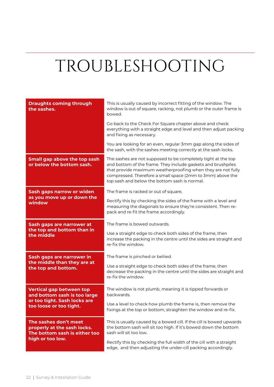# TROUBLESHOOTING

| <b>Draughts coming through</b><br>the sashes.                                         | This is usually caused by incorrect fitting of the window. The<br>window is out of square, racking, not plumb or the outer frame is<br>bowed.                                                                                                                                                                |
|---------------------------------------------------------------------------------------|--------------------------------------------------------------------------------------------------------------------------------------------------------------------------------------------------------------------------------------------------------------------------------------------------------------|
|                                                                                       | Go back to the Check For Square chapter above and check<br>everything with a straight edge and level and then adjust packing<br>and fixing as necessary.                                                                                                                                                     |
|                                                                                       | You are looking for an even, regular 3mm gap along the sides of<br>the sash, with the sashes meeting correctly at the sash locks.                                                                                                                                                                            |
| Small gap above the top sash<br>or below the bottom sash.                             | The sashes are not supposed to be completely tight at the top<br>and bottom of the frame. They include gaskets and brushpiles<br>that provide maximum weatherproofing when they are not fully<br>compressed. Therefore a small space (2mm to 3mm) above the<br>top sash and below the bottom sash is normal. |
| Sash gaps narrow or widen                                                             | The frame is racked or out of square,                                                                                                                                                                                                                                                                        |
| as you move up or down the<br>window                                                  | Rectify this by checking the sides of the frame with a level and<br>measuring the diagonals to ensure they're consistent. Then re-<br>pack and re-fit the frame accordingly.                                                                                                                                 |
| Sash gaps are narrower at                                                             | The frame is bowed outwards.                                                                                                                                                                                                                                                                                 |
| the top and bottom than in<br>the middle                                              | Use a straight edge to check both sides of the frame, then<br>increase the packing in the centre until the sides are straight and<br>re-fix the window.                                                                                                                                                      |
| Sash gaps are narrower in                                                             | The frame is pinched or beliied.                                                                                                                                                                                                                                                                             |
| the middle than they are at<br>the top and bottom.                                    | Use a straight edge to check both sides of the frame, then<br>decrease the packing in the centre until the sides are straight and<br>re-fix the window.                                                                                                                                                      |
| <b>Vertical gap between top</b><br>and bottom sash is too large                       | The window is not plumb, meaning it is tipped forwards or<br>backwards.                                                                                                                                                                                                                                      |
| or too tight. Sash locks are<br>too loose or too tight.                               | Use a level to check how plumb the frame is, then remove the<br>fixings at the top or bottom, straighten the window and re-fix.                                                                                                                                                                              |
| The sashes don't meet<br>properly at the sash locks.<br>The bottom sash is either too | This is usually caused by a bowed cill. If the cill is bowed upwards<br>the bottom sash will sit too high. If it's bowed down the bottom<br>sash will sit too low.                                                                                                                                           |
| high or too low.                                                                      | Rectify this by checking the full width of the cill with a straight<br>edge, and then adjusting the under-cill packing accordingly.                                                                                                                                                                          |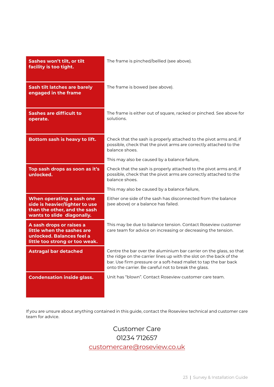| Sashes won't tilt, or tilt<br>facility is too tight.                                                                      | The frame is pinched/bellied (see above).                                                                                                                                                                                                                             |
|---------------------------------------------------------------------------------------------------------------------------|-----------------------------------------------------------------------------------------------------------------------------------------------------------------------------------------------------------------------------------------------------------------------|
| Sash tilt latches are barely<br>engaged in the frame                                                                      | The frame is bowed (see above).                                                                                                                                                                                                                                       |
| <b>Sashes are difficult to</b><br>operate.                                                                                | The frame is either out of square, racked or pinched. See above for<br>solutions.                                                                                                                                                                                     |
| Bottom sash is heavy to lift.                                                                                             | Check that the sash is properly attached to the pivot arms and, if<br>possible, check that the pivot arms are correctly attached to the<br>balance shoes.                                                                                                             |
|                                                                                                                           | This may also be caused by a balance failure,                                                                                                                                                                                                                         |
| Top sash drops as soon as it's<br>unlocked.                                                                               | Check that the sash is properly attached to the pivot arms and, if<br>possible, check that the pivot arms are correctly attached to the<br>balance shoes.                                                                                                             |
|                                                                                                                           | This may also be caused by a balance failure,                                                                                                                                                                                                                         |
| When operating a sash one<br>side is heavier/lighter to use<br>than the other, and the sash<br>wants to slide diagonally. | Either one side of the sash has disconnected from the balance<br>(see above) or a balance has failed.                                                                                                                                                                 |
| A sash drops or raises a<br>little when the sashes are<br>unlocked. Balances feel a<br>little too strong or too weak.     | This may be due to balance tension. Contact Roseview customer<br>care team for advice on increasing or decreasing the tension.                                                                                                                                        |
| <b>Astragal bar detached</b>                                                                                              | Centre the bar over the aluminium bar carrier on the glass, so that<br>the ridge on the carrier lines up with the slot on the back of the<br>bar. Use firm pressure or a soft-head mallet to tap the bar back<br>onto the carrier. Be careful not to break the glass. |
| <b>Condensation inside glass.</b>                                                                                         | Unit has "blown". Contact Roseview customer care team.                                                                                                                                                                                                                |

If you are unsure about anything contained in this guide, contact the Roseview technical and customer care team for advice.

> Customer Care 01234 712657 customercare@roseview.co.uk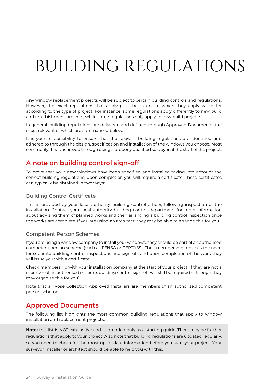# BUILDING REGULATIONS

Any window replacement projects will be subject to certain building controls and regulations. However, the exact regulations that apply plus the extent to which they apply will differ according to the type of project. For instance, some regulations apply differently to new build and refurbishment projects, while some regulations only apply to new build projects.

In general, building regulations are delivered and defined through Approved Documents, the most relevant of which are summarised below.

It is your responsibility to ensure that the relevant building regulations are identified and adhered to through the design, specification and installation of the windows you choose. Most commonly this is achieved through using a properly qualified surveyor at the start of the project.

## **A note on building control sign-off**

To prove that your new windows have been specified and installed taking into account the correct building regulations, upon completion you will require a certificate. These certificates can typically be obtained in two ways:

#### Building Control Certificate

This is provided by your local authority building control officer, following inspection of the installation. Contact your local authority building control department for more information about advising them of planned works and then arranging a building control inspection once the works are complete. If you are using an architect, they may be able to arrange this for you.

#### Competent Person Schemes

If you are using a window company to install your windows, they should be part of an authorised competent person scheme (such as FENSA or CERTASS). Their membership replaces the need for separate building control inspections and sign-off, and upon completion of the work they will issue you with a certificate.

Check membership with your installation company at the start of your project. If they are not a member of an authorised scheme, building control sign-off will still be required (although they may organise this for you).

Note that all Rose Collection Approved Installers are members of an authorised competent person scheme.

## **Approved Documents**

The following list highlights the most common building regulations that apply to window installation and replacement projects.

**Note:** this list is NOT exhaustive and is intended only as a starting guide. There may be further regulations that apply to your project. Also note that building regulations are updated regularly, so you need to check for the most up-to-date information before you start your project. Your surveyor, installer or architect should be able to help you with this.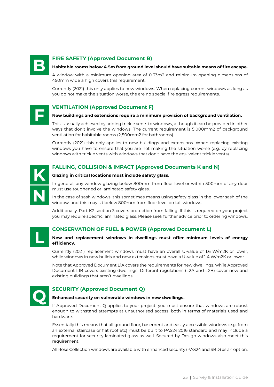

### **FIRE SAFETY (Approved Document B)**

#### **Habitable rooms below 4.5m from ground level should have suitable means of fire escape.**

A window with a minimum opening area of 0.33m2 and minimum opening dimensions of 450mm wide a high covers this requirement.

Currently (2021) this only applies to new windows. When replacing current windows as long as you do not make the situation worse, the are no special fire egress requirements.



### **VENTILATION (Approved Document F)**

#### **New buildings and extensions require a minimum provision of background ventilation.**

This is usually achieved by adding trickle vents to windows, although it can be provided in other ways that don't involve the windows. The current requirement is 5,000mm2 of background ventilation for habitable rooms (2,500mm2 for bathrooms).

Currently (2021) this only applies to new buildings and extensions. When replacing existing windows you have to ensure that you are not making the situation worse (e.g. by replacing windows with trickle vents with windows that don't have the equivalent trickle vents).



### **FALLING, COLLISION & IMPACT (Approved Documents K and N)**

#### **Glazing in critical locations must include safety glass.**

In general, any window glazing below 800mm from floor level or within 300mm of any door must use toughened or laminated safety glass.

In the case of sash windows, this sometimes means using safety glass in the lower sash of the window, and this may sit below 800mm from floor level on tall windows.

Additionally, Part K2 section 3 covers protection from falling. If this is required on your project you may require specific laminated glass. Please seek further advice prior to ordering windows.



#### **CONSERVATION OF FUEL & POWER (Approved Document L)**

**New and replacement windows in dwellings must offer minimum levels of energy efficiency.**

Currently (2021) replacement windows must have an overall U-value of 1.6 W/m2K or lower, while windows in new builds and new extensions must have a U-value of 1.4 W/m2K or lower.

Note that Approved Document L1A covers the requirements for new dwellings, while Approved Document L1B covers existing dwellings. Different regulations (L2A and L2B) cover new and existing buildings that aren't dwellings.



### **SECURITY (Approved Document Q)**

#### **Enhanced security on vulnerable windows in new dwellings.**

If Approved Document Q applies to your project, you must ensure that windows are robust enough to withstand attempts at unauthorised access, both in terms of materials used and hardware.

Essentially this means that all ground floor, basement and easily accessible windows (e.g. from an external staircase or flat roof etc) must be built to PAS24:2016 standard and may include a requirement for security laminated glass as well. Secured by Design windows also meet this requirement.

All Rose Collection windows are available with enhanced security (PAS24 and SBD) as an option.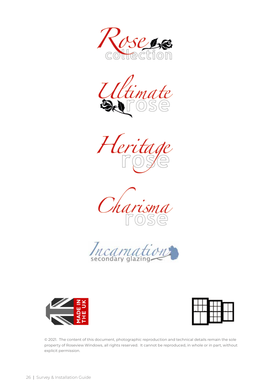













© 2021. The content of this document, photographic reproduction and technical details remain the sole property of Roseview Windows, all rights reserved. It cannot be reproduced, in whole or in part, without explicit permission.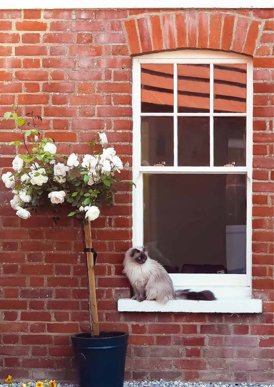